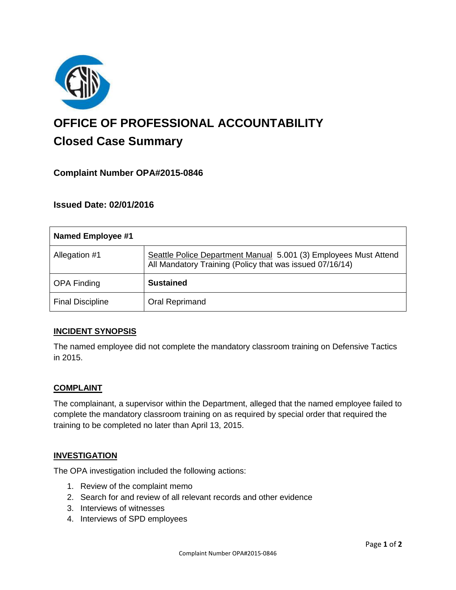

# **OFFICE OF PROFESSIONAL ACCOUNTABILITY Closed Case Summary**

## **Complaint Number OPA#2015-0846**

## **Issued Date: 02/01/2016**

| <b>Named Employee #1</b> |                                                                                                                              |
|--------------------------|------------------------------------------------------------------------------------------------------------------------------|
| Allegation #1            | Seattle Police Department Manual 5.001 (3) Employees Must Attend<br>All Mandatory Training (Policy that was issued 07/16/14) |
| <b>OPA Finding</b>       | <b>Sustained</b>                                                                                                             |
| <b>Final Discipline</b>  | <b>Oral Reprimand</b>                                                                                                        |

### **INCIDENT SYNOPSIS**

The named employee did not complete the mandatory classroom training on Defensive Tactics in 2015.

### **COMPLAINT**

The complainant, a supervisor within the Department, alleged that the named employee failed to complete the mandatory classroom training on as required by special order that required the training to be completed no later than April 13, 2015.

#### **INVESTIGATION**

The OPA investigation included the following actions:

- 1. Review of the complaint memo
- 2. Search for and review of all relevant records and other evidence
- 3. Interviews of witnesses
- 4. Interviews of SPD employees